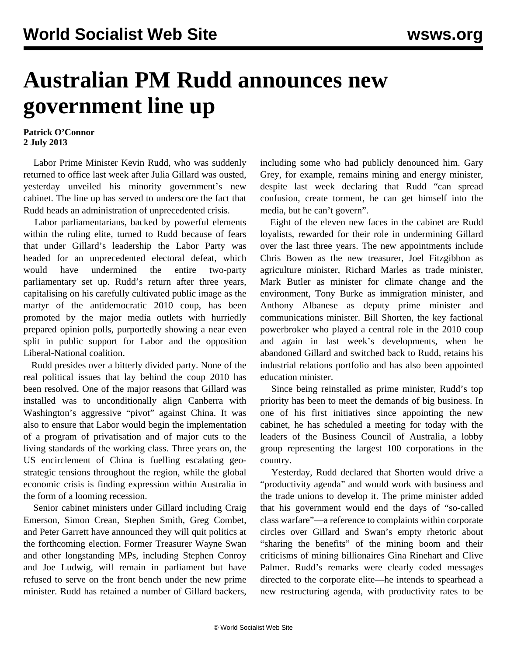## **Australian PM Rudd announces new government line up**

## **Patrick O'Connor 2 July 2013**

 Labor Prime Minister Kevin Rudd, who was suddenly returned to office last week after Julia Gillard was ousted, yesterday unveiled his minority government's new cabinet. The line up has served to underscore the fact that Rudd heads an administration of unprecedented crisis.

 Labor parliamentarians, backed by powerful elements within the ruling elite, turned to Rudd because of fears that under Gillard's leadership the Labor Party was headed for an unprecedented electoral defeat, which would have undermined the entire two-party parliamentary set up. Rudd's return after three years, capitalising on his carefully cultivated public image as the martyr of the antidemocratic 2010 coup, has been promoted by the major media outlets with hurriedly prepared opinion polls, purportedly showing a near even split in public support for Labor and the opposition Liberal-National coalition.

 Rudd presides over a bitterly divided party. None of the real political issues that lay behind the coup 2010 has been resolved. One of the major reasons that Gillard was installed was to unconditionally align Canberra with Washington's aggressive "pivot" against China. It was also to ensure that Labor would begin the implementation of a program of privatisation and of major cuts to the living standards of the working class. Three years on, the US encirclement of China is fuelling escalating geostrategic tensions throughout the region, while the global economic crisis is finding expression within Australia in the form of a looming recession.

 Senior cabinet ministers under Gillard including Craig Emerson, Simon Crean, Stephen Smith, Greg Combet, and Peter Garrett have announced they will quit politics at the forthcoming election. Former Treasurer Wayne Swan and other longstanding MPs, including Stephen Conroy and Joe Ludwig, will remain in parliament but have refused to serve on the front bench under the new prime minister. Rudd has retained a number of Gillard backers, including some who had publicly denounced him. Gary Grey, for example, remains mining and energy minister, despite last week declaring that Rudd "can spread confusion, create torment, he can get himself into the media, but he can't govern".

 Eight of the eleven new faces in the cabinet are Rudd loyalists, rewarded for their role in undermining Gillard over the last three years. The new appointments include Chris Bowen as the new treasurer, Joel Fitzgibbon as agriculture minister, Richard Marles as trade minister, Mark Butler as minister for climate change and the environment, Tony Burke as immigration minister, and Anthony Albanese as deputy prime minister and communications minister. Bill Shorten, the key factional powerbroker who played a central role in the 2010 coup and again in last week's developments, when he abandoned Gillard and switched back to Rudd, retains his industrial relations portfolio and has also been appointed education minister.

 Since being reinstalled as prime minister, Rudd's top priority has been to meet the demands of big business. In one of his first initiatives since appointing the new cabinet, he has scheduled a meeting for today with the leaders of the Business Council of Australia, a lobby group representing the largest 100 corporations in the country.

 Yesterday, Rudd declared that Shorten would drive a "productivity agenda" and would work with business and the trade unions to develop it. The prime minister added that his government would end the days of "so-called class warfare"—a reference to complaints within corporate circles over Gillard and Swan's empty rhetoric about "sharing the benefits" of the mining boom and their criticisms of mining billionaires Gina Rinehart and Clive Palmer. Rudd's remarks were clearly coded messages directed to the corporate elite—he intends to spearhead a new restructuring agenda, with productivity rates to be